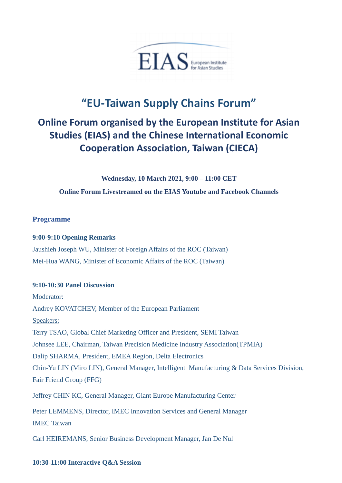

# **"EU-Taiwan Supply Chains Forum"**

## **Online Forum organised by the European Institute for Asian Studies (EIAS) and the Chinese International Economic Cooperation Association, Taiwan (CIECA)**

**Wednesday, 10 March 2021, 9:00 – 11:00 CET** 

**Online Forum Livestreamed on the EIAS Youtube and Facebook Channels** 

#### **Programme**

#### **9:00-9:10 Opening Remarks**

Jaushieh Joseph WU, Minister of Foreign Affairs of the ROC (Taiwan) Mei-Hua WANG, Minister of Economic Affairs of the ROC (Taiwan)

#### **9:10-10:30 Panel Discussion**

Moderator: Andrey KOVATCHEV, Member of the European Parliament Speakers: Terry TSAO, Global Chief Marketing Officer and President, SEMI Taiwan Johnsee LEE, Chairman, Taiwan Precision Medicine Industry Association(TPMIA) Dalip SHARMA, President, EMEA Region, Delta Electronics Chin-Yu LIN (Miro LIN), General Manager, Intelligent Manufacturing & Data Services Division, Fair Friend Group (FFG) Jeffrey CHIN KC, General Manager, Giant Europe Manufacturing Center Peter LEMMENS, Director, IMEC Innovation Services and General Manager IMEC Taiwan

Carl HEIREMANS, Senior Business Development Manager, Jan De Nul

#### **10:30-11:00 Interactive Q&A Session**